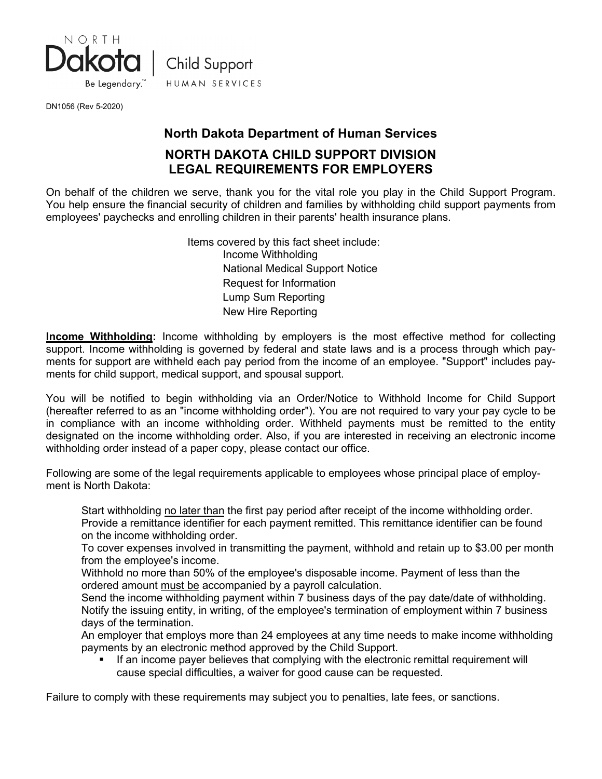

DN1056 (Rev 5-2020)

## **North Dakota Department of Human Services**

## **NORTH DAKOTA CHILD SUPPORT DIVISION LEGAL REQUIREMENTS FOR EMPLOYERS**

On behalf of the children we serve, thank you for the vital role you play in the Child Support Program. You help ensure the financial security of children and families by withholding child support payments from employees' paychecks and enrolling children in their parents' health insurance plans.

> Items covered by this fact sheet include: Income Withholding National Medical Support Notice Request for Information Lump Sum Reporting New Hire Reporting

**Income Withholding:** Income withholding by employers is the most effective method for collecting support. Income withholding is governed by federal and state laws and is a process through which payments for support are withheld each pay period from the income of an employee. "Support" includes payments for child support, medical support, and spousal support.

You will be notified to begin withholding via an Order/Notice to Withhold Income for Child Support (hereafter referred to as an "income withholding order"). You are not required to vary your pay cycle to be in compliance with an income withholding order. Withheld payments must be remitted to the entity designated on the income withholding order. Also, if you are interested in receiving an electronic income withholding order instead of a paper copy, please contact our office.

Following are some of the legal requirements applicable to employees whose principal place of employment is North Dakota:

Start withholding no later than the first pay period after receipt of the income withholding order. Provide a remittance identifier for each payment remitted. This remittance identifier can be found on the income withholding order.

To cover expenses involved in transmitting the payment, withhold and retain up to \$3.00 per month from the employee's income.

Withhold no more than 50% of the employee's disposable income. Payment of less than the ordered amount must be accompanied by a payroll calculation.

Send the income withholding payment within 7 business days of the pay date/date of withholding. Notify the issuing entity, in writing, of the employee's termination of employment within 7 business days of the termination.

An employer that employs more than 24 employees at any time needs to make income withholding payments by an electronic method approved by the Child Support.

**If an income payer believes that complying with the electronic remittal requirement will** cause special difficulties, a waiver for good cause can be requested.

Failure to comply with these requirements may subject you to penalties, late fees, or sanctions.